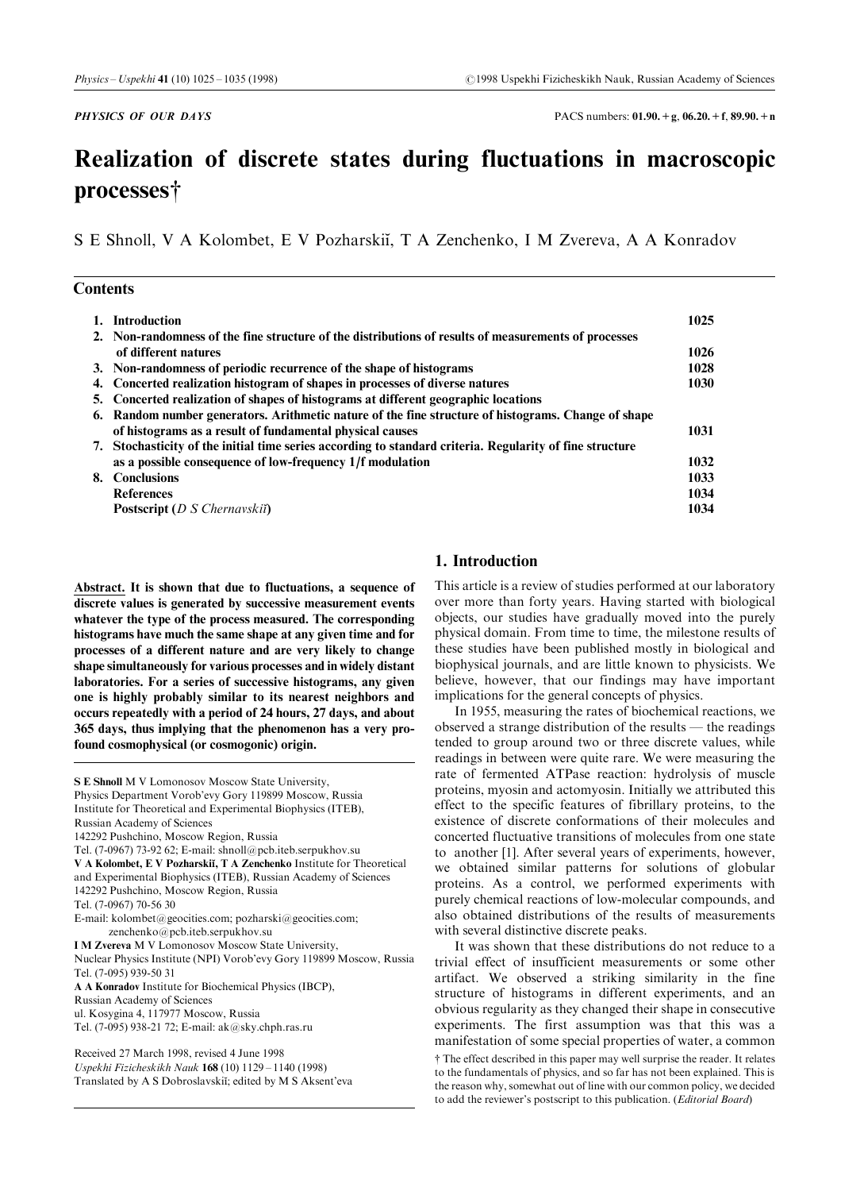**PHYSICS OF OUR DAYS** PACS numbers:  $01.90. +g$ ,  $06.20. +f$ ,  $89.90. +n$ 

# Realization of discrete states during fluctuations in macroscopic processes†

S E Shnoll, V A Kolombet, E V Pozharskii, T A Zenchenko, I M Zvereva, A A Konradov

|  | <b>Contents</b> |
|--|-----------------|
|--|-----------------|

|    | 1. Introduction                                                                                       | 1025 |
|----|-------------------------------------------------------------------------------------------------------|------|
|    | 2. Non-randomness of the fine structure of the distributions of results of measurements of processes  |      |
|    | of different natures                                                                                  | 1026 |
|    | 3. Non-randomness of periodic recurrence of the shape of histograms                                   | 1028 |
|    | 4. Concerted realization histogram of shapes in processes of diverse natures                          | 1030 |
|    | 5. Concerted realization of shapes of histograms at different geographic locations                    |      |
|    | 6. Random number generators. Arithmetic nature of the fine structure of histograms. Change of shape   |      |
|    | of histograms as a result of fundamental physical causes                                              | 1031 |
| 7. | Stochasticity of the initial time series according to standard criteria. Regularity of fine structure |      |
|    | as a possible consequence of low-frequency 1/f modulation                                             | 1032 |
| 8. | <b>Conclusions</b>                                                                                    | 1033 |
|    | <b>References</b>                                                                                     | 1034 |
|    | <b>Postscript</b> ( $D S$ <i>Chernavskii</i> )                                                        | 1034 |

Abstract. It is shown that due to fluctuations, a sequence of discrete values is generated by successive measurement events whatever the type of the process measured. The corresponding histograms have much the same shape at any given time and for processes of a different nature and are very likely to change shape simultaneously for various processes and in widely distant laboratories. For a series of successive histograms, any given one is highly probably similar to its nearest neighbors and occurs repeatedly with a period of 24 hours, 27 days, and about 365 days, thus implying that the phenomenon has a very profound cosmophysical (or cosmogonic) origin.

S E Shnoll M V Lomonosov Moscow State University, Physics Department Vorob'evy Gory 119899 Moscow, Russia Institute for Theoretical and Experimental Biophysics (ITEB), Russian Academy of Sciences 142292 Pushchino, Moscow Region, Russia Tel. (7-0967) 73-92 62; E-mail: shnoll@pcb.iteb.serpukhov.su V A Kolombet, E V Pozharskii, T A Zenchenko Institute for Theoretical and Experimental Biophysics (ITEB), Russian Academy of Sciences 142292 Pushchino, Moscow Region, Russia Tel. (7-0967) 70-56 30 E-mail: kolombet@geocities.com; pozharski@geocities.com; zenchenko@pcb.iteb.serpukhov.su I M Zvereva M V Lomonosov Moscow State University, Nuclear Physics Institute (NPI) Vorob'evy Gory 119899 Moscow, Russia Tel. (7-095) 939-50 31 A A Konradov Institute for Biochemical Physics (IBCP), Russian Academy of Sciences ul. Kosygina 4, 117977 Moscow, Russia Tel. (7-095) 938-21 72; E-mail: ak@sky.chph.ras.ru Received 27 March 1998, revised 4 June 1998 Uspekhi Fizicheskikh Nauk  $168(10) 1129 - 1140(1998)$ 

Translated by A S Dobroslavskii; edited by M S Aksent'eva

# 1. Introduction

This article is a review of studies performed at our laboratory over more than forty years. Having started with biological objects, our studies have gradually moved into the purely physical domain. From time to time, the milestone results of these studies have been published mostly in biological and biophysical journals, and are little known to physicists. We believe, however, that our findings may have important implications for the general concepts of physics.

In 1955, measuring the rates of biochemical reactions, we observed a strange distribution of the results  $-$  the readings tended to group around two or three discrete values, while readings in between were quite rare. We were measuring the rate of fermented ATPase reaction: hydrolysis of muscle proteins, myosin and actomyosin. Initially we attributed this effect to the specific features of fibrillary proteins, to the existence of discrete conformations of their molecules and concerted fluctuative transitions of molecules from one state to another [1]. After several years of experiments, however, we obtained similar patterns for solutions of globular proteins. As a control, we performed experiments with purely chemical reactions of low-molecular compounds, and also obtained distributions of the results of measurements with several distinctive discrete peaks.

It was shown that these distributions do not reduce to a trivial effect of insufficient measurements or some other artifact. We observed a striking similarity in the fine structure of histograms in different experiments, and an obvious regularity as they changed their shape in consecutive experiments. The first assumption was that this was a manifestation of some special properties of water, a common { The effect described in this paper may well surprise the reader. It relates to the fundamentals of physics, and so far has not been explained. This is the reason why, somewhat out of line with our common policy, we decided to add the reviewer's postscript to this publication. (Editorial Board)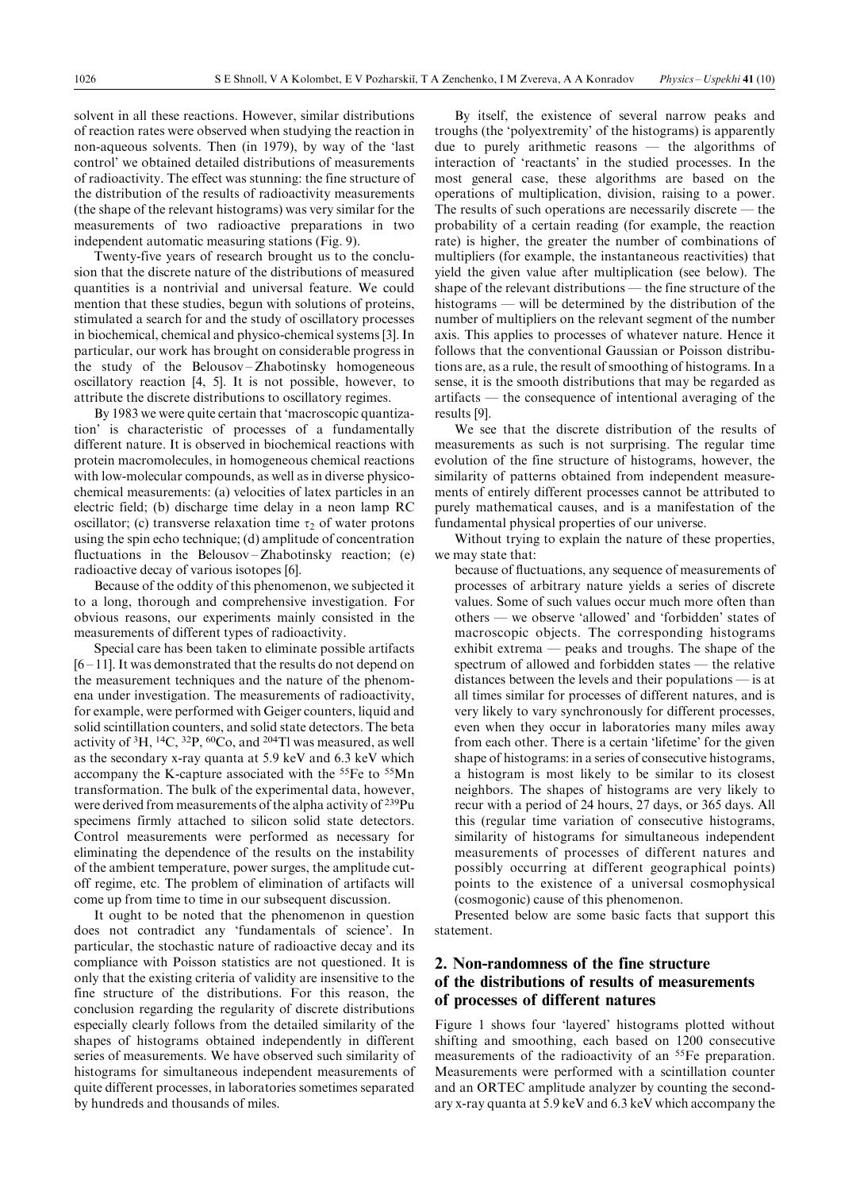solvent in all these reactions. However, similar distributions of reaction rates were observed when studying the reaction in non-aqueous solvents. Then (in 1979), by way of the `last control' we obtained detailed distributions of measurements of radioactivity. The effect was stunning: the fine structure of the distribution of the results of radioactivity measurements (the shape of the relevant histograms) was very similar for the measurements of two radioactive preparations in two independent automatic measuring stations (Fig. 9).

Twenty-five years of research brought us to the conclusion that the discrete nature of the distributions of measured quantities is a nontrivial and universal feature. We could mention that these studies, begun with solutions of proteins, stimulated a search for and the study of oscillatory processes in biochemical, chemical and physico-chemical systems [3]. In particular, our work has brought on considerable progress in the study of the Belousov-Zhabotinsky homogeneous oscillatory reaction [4, 5]. It is not possible, however, to attribute the discrete distributions to oscillatory regimes.

By 1983 we were quite certain that 'macroscopic quantization' is characteristic of processes of a fundamentally different nature. It is observed in biochemical reactions with protein macromolecules, in homogeneous chemical reactions with low-molecular compounds, as well as in diverse physicochemical measurements: (a) velocities of latex particles in an electric field; (b) discharge time delay in a neon lamp RC oscillator; (c) transverse relaxation time  $\tau_2$  of water protons using the spin echo technique; (d) amplitude of concentration fluctuations in the Belousov-Zhabotinsky reaction; (e) radioactive decay of various isotopes [6].

Because of the oddity of this phenomenon, we subjected it to a long, thorough and comprehensive investigation. For obvious reasons, our experiments mainly consisted in the measurements of different types of radioactivity.

Special care has been taken to eliminate possible artifacts  $[6 - 11]$ . It was demonstrated that the results do not depend on the measurement techniques and the nature of the phenomena under investigation. The measurements of radioactivity, for example, were performed with Geiger counters, liquid and solid scintillation counters, and solid state detectors. The beta activity of  ${}^{3}H$ ,  ${}^{14}C$ ,  ${}^{32}P$ ,  ${}^{60}Co$ , and  ${}^{204}Tl$  was measured, as well as the secondary x-ray quanta at 5.9 keV and 6.3 keV which accompany the K-capture associated with the 55Fe to 55Mn transformation. The bulk of the experimental data, however, were derived from measurements of the alpha activity of <sup>239</sup>Pu specimens firmly attached to silicon solid state detectors. Control measurements were performed as necessary for eliminating the dependence of the results on the instability of the ambient temperature, power surges, the amplitude cutoff regime, etc. The problem of elimination of artifacts will come up from time to time in our subsequent discussion.

It ought to be noted that the phenomenon in question does not contradict any `fundamentals of science'. In particular, the stochastic nature of radioactive decay and its compliance with Poisson statistics are not questioned. It is only that the existing criteria of validity are insensitive to the fine structure of the distributions. For this reason, the conclusion regarding the regularity of discrete distributions especially clearly follows from the detailed similarity of the shapes of histograms obtained independently in different series of measurements. We have observed such similarity of histograms for simultaneous independent measurements of quite different processes, in laboratories sometimes separated by hundreds and thousands of miles.

By itself, the existence of several narrow peaks and troughs (the `polyextremity' of the histograms) is apparently due to purely arithmetic reasons  $-$  the algorithms of interaction of 'reactants' in the studied processes. In the most general case, these algorithms are based on the operations of multiplication, division, raising to a power. The results of such operations are necessarily discrete  $-$  the probability of a certain reading (for example, the reaction rate) is higher, the greater the number of combinations of multipliers (for example, the instantaneous reactivities) that yield the given value after multiplication (see below). The shape of the relevant distributions  $-$  the fine structure of the histograms  $-\text{will}$  be determined by the distribution of the number of multipliers on the relevant segment of the number axis. This applies to processes of whatever nature. Hence it follows that the conventional Gaussian or Poisson distributions are, as a rule, the result of smoothing of histograms. In a sense, it is the smooth distributions that may be regarded as  $artifacts — the consequence of intentional averaging of the$ results [9].

We see that the discrete distribution of the results of measurements as such is not surprising. The regular time evolution of the fine structure of histograms, however, the similarity of patterns obtained from independent measurements of entirely different processes cannot be attributed to purely mathematical causes, and is a manifestation of the fundamental physical properties of our universe.

Without trying to explain the nature of these properties, we may state that:

because of fluctuations, any sequence of measurements of processes of arbitrary nature yields a series of discrete values. Some of such values occur much more often than others — we observe 'allowed' and 'forbidden' states of macroscopic objects. The corresponding histograms exhibit extrema  $-$  peaks and troughs. The shape of the spectrum of allowed and forbidden states  $-$  the relative distances between the levels and their populations  $\frac{1}{1}$  is at all times similar for processes of different natures, and is very likely to vary synchronously for different processes, even when they occur in laboratories many miles away from each other. There is a certain 'lifetime' for the given shape of histograms: in a series of consecutive histograms, a histogram is most likely to be similar to its closest neighbors. The shapes of histograms are very likely to recur with a period of 24 hours, 27 days, or 365 days. All this (regular time variation of consecutive histograms, similarity of histograms for simultaneous independent measurements of processes of different natures and possibly occurring at different geographical points) points to the existence of a universal cosmophysical (cosmogonic) cause of this phenomenon.

Presented below are some basic facts that support this statement.

# 2. Non-randomness of the fine structure of the distributions of results of measurements of processes of different natures

Figure 1 shows four 'layered' histograms plotted without shifting and smoothing, each based on 1200 consecutive measurements of the radioactivity of an 55Fe preparation. Measurements were performed with a scintillation counter and an ORTEC amplitude analyzer by counting the secondary x-ray quanta at 5.9 keV and 6.3 keV which accompany the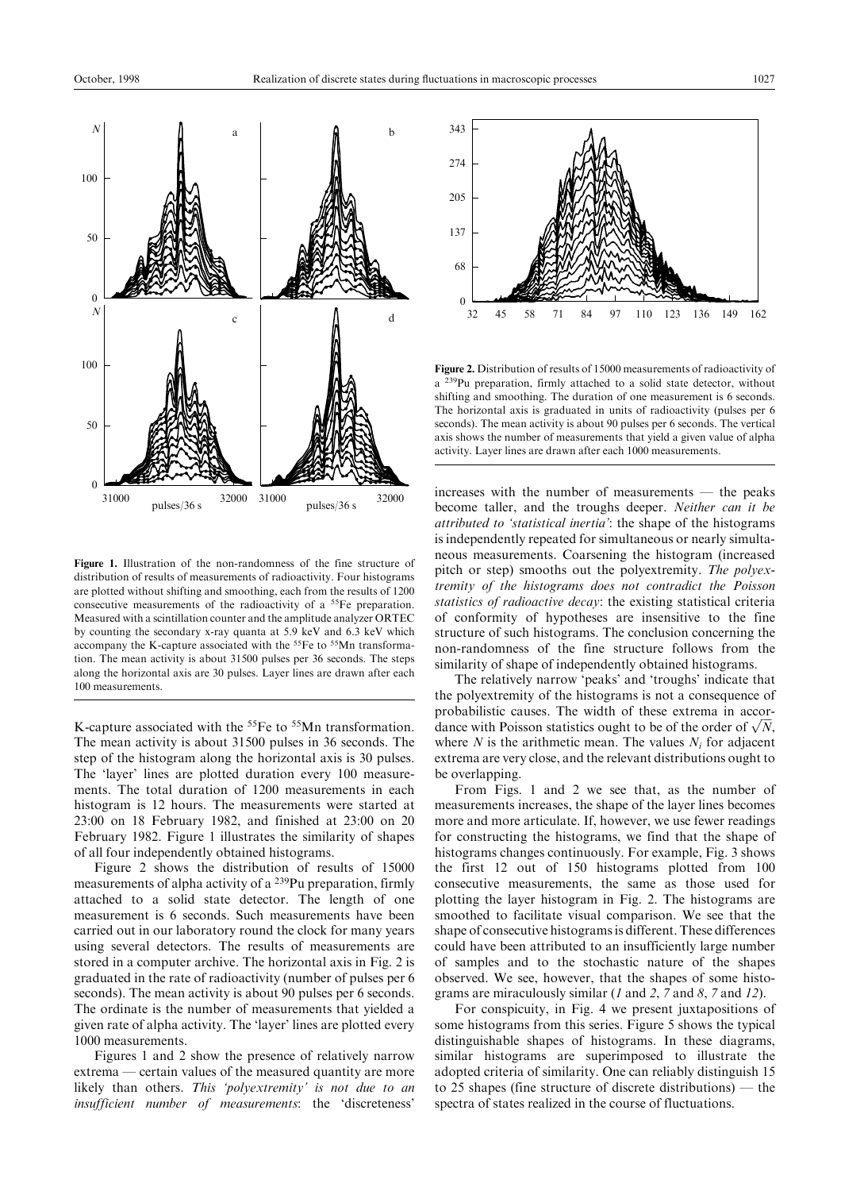

Figure 1. Illustration of the non-randomness of the fine structure of distribution of results of measurements of radioactivity. Four histograms are plotted without shifting and smoothing, each from the results of 1200 consecutive measurements of the radioactivity of a 55Fe preparation. Measured with a scintillation counter and the amplitude analyzer ORTEC by counting the secondary x-ray quanta at 5.9 keV and 6.3 keV which accompany the K-capture associated with the 55Fe to 55Mn transformation. The mean activity is about 31500 pulses per 36 seconds. The steps along the horizontal axis are 30 pulses. Layer lines are drawn after each 100 measurements.

K-capture associated with the <sup>55</sup>Fe to <sup>55</sup>Mn transformation. The mean activity is about 31500 pulses in 36 seconds. The step of the histogram along the horizontal axis is 30 pulses. The 'layer' lines are plotted duration every 100 measurements. The total duration of 1200 measurements in each histogram is 12 hours. The measurements were started at 23:00 on 18 February 1982, and finished at 23:00 on 20 February 1982. Figure 1 illustrates the similarity of shapes of all four independently obtained histograms.

Figure 2 shows the distribution of results of 15000 measurements of alpha activity of a 239Pu preparation, firmly attached to a solid state detector. The length of one measurement is 6 seconds. Such measurements have been carried out in our laboratory round the clock for many years using several detectors. The results of measurements are stored in a computer archive. The horizontal axis in Fig. 2 is graduated in the rate of radioactivity (number of pulses per 6 seconds). The mean activity is about 90 pulses per 6 seconds. The ordinate is the number of measurements that yielded a given rate of alpha activity. The 'layer' lines are plotted every 1000 measurements.

Figures 1 and 2 show the presence of relatively narrow extrema — certain values of the measured quantity are more likely than others. This 'polyextremity' is not due to an insufficient number of measurements: the `discreteness'



Figure 2. Distribution of results of 15000 measurements of radioactivity of a 239Pu preparation, firmly attached to a solid state detector, without shifting and smoothing. The duration of one measurement is 6 seconds. The horizontal axis is graduated in units of radioactivity (pulses per 6 seconds). The mean activity is about 90 pulses per 6 seconds. The vertical axis shows the number of measurements that yield a given value of alpha activity. Layer lines are drawn after each 1000 measurements.

 $increases$  with the number of measurements  $-$  the peaks become taller, and the troughs deeper. Neither can it be attributed to `statistical inertia': the shape of the histograms is independently repeated for simultaneous or nearly simultaneous measurements. Coarsening the histogram (increased pitch or step) smooths out the polyextremity. The polyextremity of the histograms does not contradict the Poisson statistics of radioactive decay: the existing statistical criteria of conformity of hypotheses are insensitive to the fine structure of such histograms. The conclusion concerning the non-randomness of the fine structure follows from the similarity of shape of independently obtained histograms.

The relatively narrow 'peaks' and 'troughs' indicate that the polyextremity of the histograms is not a consequence of probabilistic causes. The width of these extrema in accorprobabilistic causes. The width of these extrema in accordance with Poisson statistics ought to be of the order of  $\sqrt{N}$ , where N is the arithmetic mean. The values  $N_i$  for adjacent extrema are very close, and the relevant distributions ought to be overlapping.

From Figs. 1 and 2 we see that, as the number of measurements increases, the shape of the layer lines becomes more and more articulate. If, however, we use fewer readings for constructing the histograms, we find that the shape of histograms changes continuously. For example, Fig. 3 shows the first 12 out of 150 histograms plotted from 100 consecutive measurements, the same as those used for plotting the layer histogram in Fig. 2. The histograms are smoothed to facilitate visual comparison. We see that the shape of consecutive histograms is different. These differences could have been attributed to an insufficiently large number of samples and to the stochastic nature of the shapes observed. We see, however, that the shapes of some histograms are miraculously similar  $(1 \text{ and } 2, 7 \text{ and } 8, 7 \text{ and } 12)$ .

For conspicuity, in Fig. 4 we present juxtapositions of some histograms from this series. Figure 5 shows the typical distinguishable shapes of histograms. In these diagrams, similar histograms are superimposed to illustrate the adopted criteria of similarity. One can reliably distinguish 15 to 25 shapes (fine structure of discrete distributions)  $-$  the spectra of states realized in the course of fluctuations.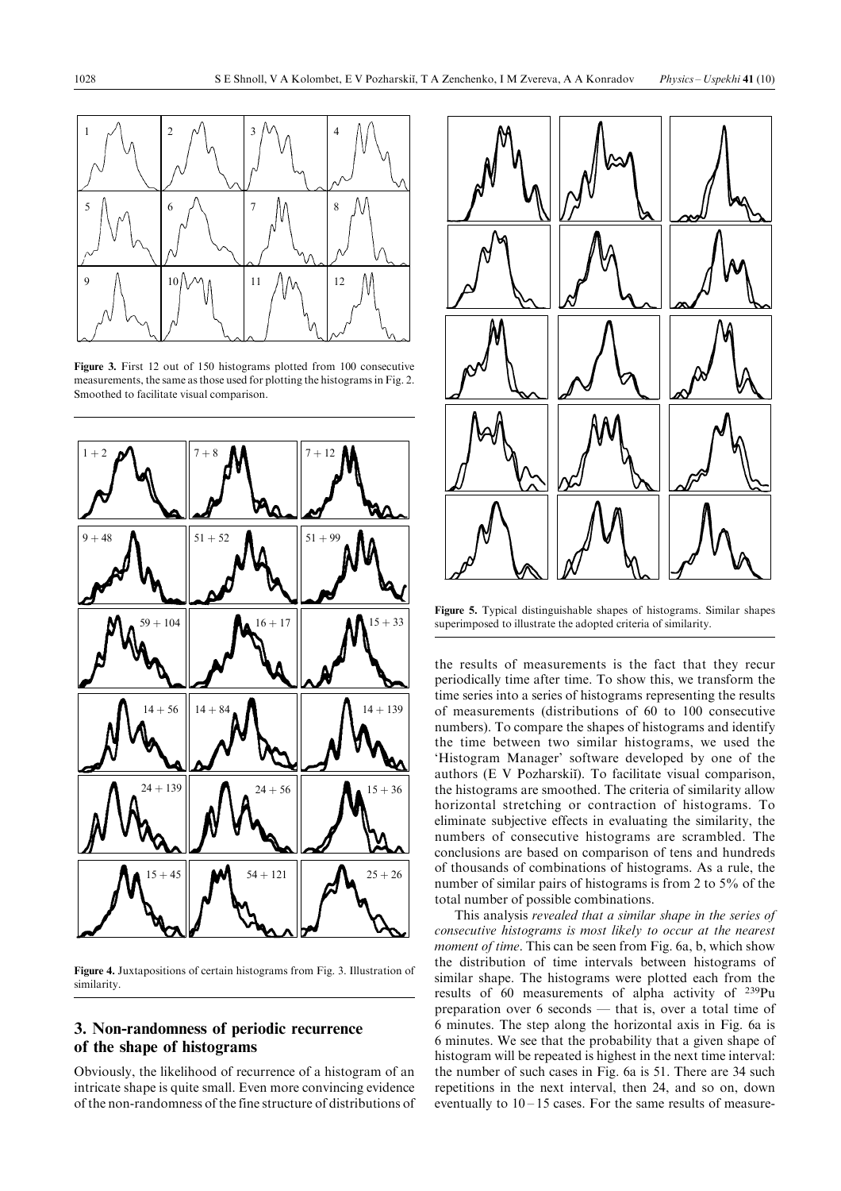

Figure 3. First 12 out of 150 histograms plotted from 100 consecutive measurements, the same asthose used for plotting the histogramsin Fig. 2. Smoothed to facilitate visual comparison.



Figure 4. Juxtapositions of certain histograms from Fig. 3. Illustration of similarity.

# 3. Non-randomness of periodic recurrence of the shape of histograms

Obviously, the likelihood of recurrence of a histogram of an intricate shape is quite small. Even more convincing evidence of the non-randomness of the fine structure of distributions of



Figure 5. Typical distinguishable shapes of histograms. Similar shapes superimposed to illustrate the adopted criteria of similarity.

the results of measurements is the fact that they recur periodically time after time. To show this, we transform the time series into a series of histograms representing the results of measurements (distributions of 60 to 100 consecutive numbers). To compare the shapes of histograms and identify the time between two similar histograms, we used the `Histogram Manager' software developed by one of the authors (E V Pozharskiĭ). To facilitate visual comparison, the histograms are smoothed. The criteria of similarity allow horizontal stretching or contraction of histograms. To eliminate subjective effects in evaluating the similarity, the numbers of consecutive histograms are scrambled. The conclusions are based on comparison of tens and hundreds of thousands of combinations of histograms. As a rule, the number of similar pairs of histograms is from 2 to 5% of the total number of possible combinations.

This analysis revealed that a similar shape in the series of consecutive histograms is most likely to occur at the nearest moment of time. This can be seen from Fig. 6a, b, which show the distribution of time intervals between histograms of similar shape. The histograms were plotted each from the results of 60 measurements of alpha activity of 239Pu preparation over  $6$  seconds  $-$  that is, over a total time of 6 minutes. The step along the horizontal axis in Fig. 6a is 6 minutes. We see that the probability that a given shape of histogram will be repeated is highest in the next time interval: the number of such cases in Fig. 6a is 51. There are 34 such repetitions in the next interval, then 24, and so on, down eventually to  $10 - 15$  cases. For the same results of measure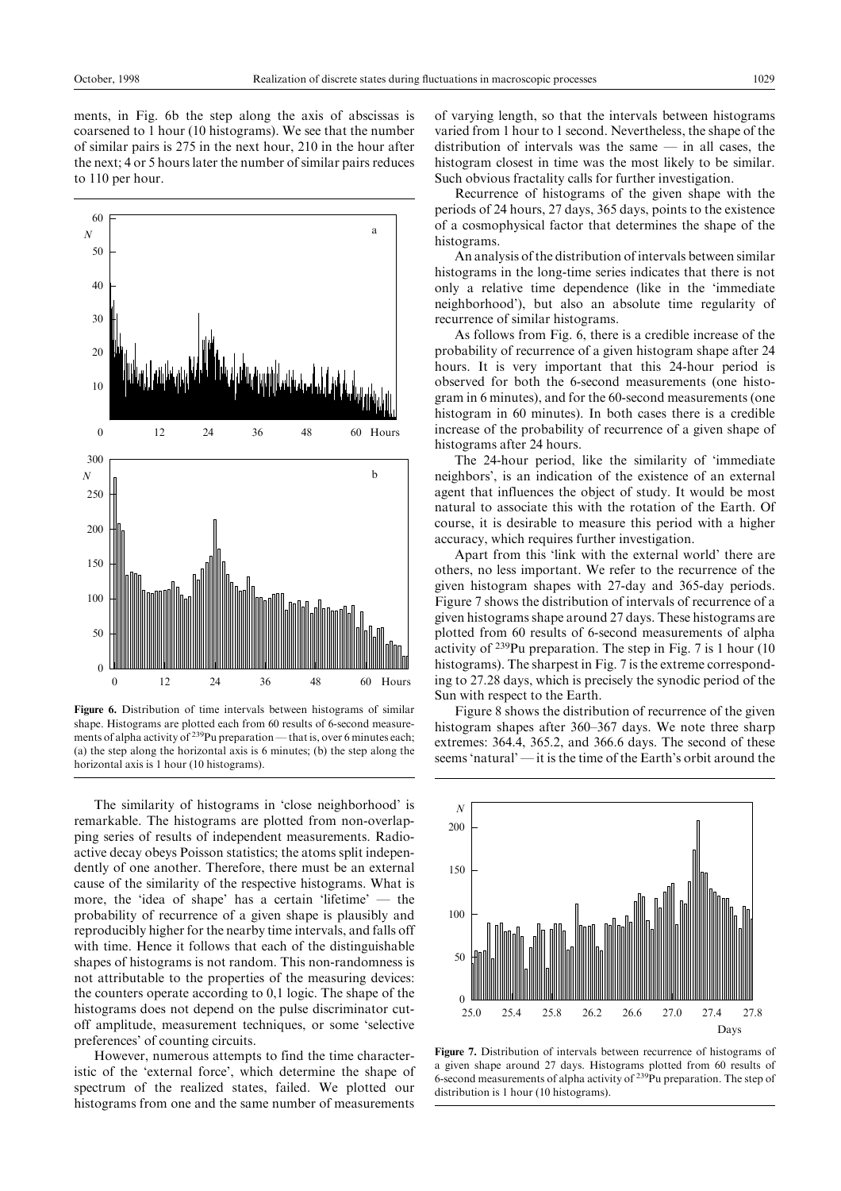ments, in Fig. 6b the step along the axis of abscissas is coarsened to 1 hour (10 histograms). We see that the number of similar pairs is 275 in the next hour, 210 in the hour after the next; 4 or 5 hours later the number of similar pairs reduces to 110 per hour.



Figure 6. Distribution of time intervals between histograms of similar shape. Histograms are plotted each from 60 results of 6-second measurements of alpha activity of  $239$ Pu preparation — that is, over 6 minutes each; (a) the step along the horizontal axis is 6 minutes; (b) the step along the horizontal axis is 1 hour (10 histograms).

The similarity of histograms in `close neighborhood' is remarkable. The histograms are plotted from non-overlapping series of results of independent measurements. Radioactive decay obeys Poisson statistics; the atoms split independently of one another. Therefore, there must be an external cause of the similarity of the respective histograms. What is more, the 'idea of shape' has a certain 'lifetime'  $-$  the probability of recurrence of a given shape is plausibly and reproducibly higher for the nearby time intervals, and falls off with time. Hence it follows that each of the distinguishable shapes of histograms is not random. This non-randomness is not attributable to the properties of the measuring devices: the counters operate according to 0,1 logic. The shape of the histograms does not depend on the pulse discriminator cutoff amplitude, measurement techniques, or some `selective preferences' of counting circuits.

However, numerous attempts to find the time characteristic of the `external force', which determine the shape of spectrum of the realized states, failed. We plotted our histograms from one and the same number of measurements

of varying length, so that the intervals between histograms varied from 1 hour to 1 second. Nevertheless, the shape of the distribution of intervals was the same  $-$  in all cases, the histogram closest in time was the most likely to be similar. Such obvious fractality calls for further investigation.

Recurrence of histograms of the given shape with the periods of 24 hours, 27 days, 365 days, points to the existence of a cosmophysical factor that determines the shape of the histograms.

An analysis of the distribution of intervals between similar histograms in the long-time series indicates that there is not only a relative time dependence (like in the `immediate neighborhood'), but also an absolute time regularity of recurrence of similar histograms.

As follows from Fig. 6, there is a credible increase of the probability of recurrence of a given histogram shape after 24 hours. It is very important that this 24-hour period is observed for both the 6-second measurements (one histogram in 6 minutes), and for the 60-second measurements (one histogram in 60 minutes). In both cases there is a credible increase of the probability of recurrence of a given shape of histograms after 24 hours.

The 24-hour period, like the similarity of 'immediate neighbors', is an indication of the existence of an external agent that influences the object of study. It would be most natural to associate this with the rotation of the Earth. Of course, it is desirable to measure this period with a higher accuracy, which requires further investigation.

Apart from this 'link with the external world' there are others, no less important. We refer to the recurrence of the given histogram shapes with 27-day and 365-day periods. Figure 7 shows the distribution of intervals of recurrence of a given histograms shape around 27 days. These histograms are plotted from 60 results of 6-second measurements of alpha activity of 239Pu preparation. The step in Fig. 7 is 1 hour (10 histograms). The sharpest in Fig. 7 is the extreme corresponding to 27.28 days, which is precisely the synodic period of the Sun with respect to the Earth.

Figure 8 shows the distribution of recurrence of the given histogram shapes after 360–367 days. We note three sharp extremes: 364.4, 365.2, and 366.6 days. The second of these seems 'natural'  $\frac{d}{dt}$  it is the time of the Earth's orbit around the



Figure 7. Distribution of intervals between recurrence of histograms of a given shape around 27 days. Histograms plotted from 60 results of 6-second measurements of alpha activity of  $239$ Pu preparation. The step of distribution is 1 hour (10 histograms).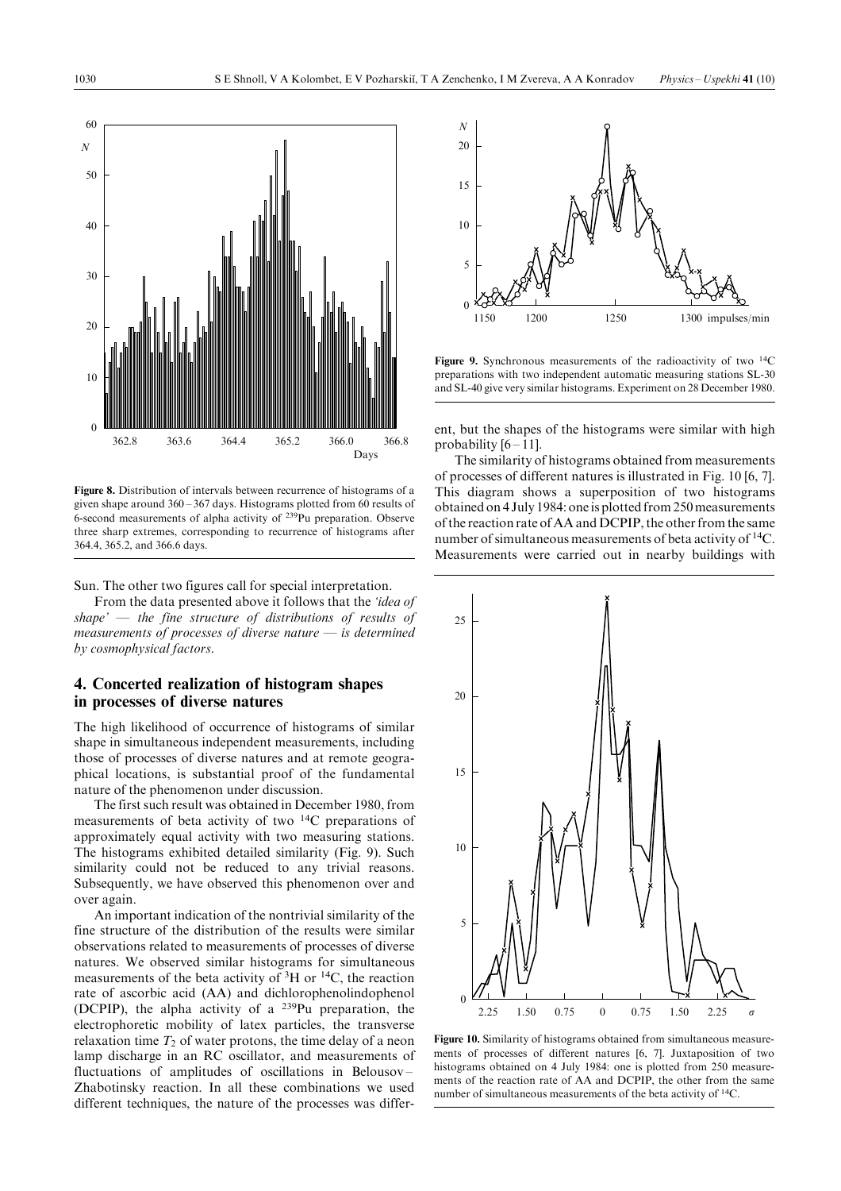

Figure 8. Distribution of intervals between recurrence of histograms of a given shape around  $360 - 367$  days. Histograms plotted from 60 results of 6-second measurements of alpha activity of  $239$ Pu preparation. Observe three sharp extremes, corresponding to recurrence of histograms after 364.4, 365.2, and 366.6 days.

#### Sun. The other two figures call for special interpretation.

From the data presented above it follows that the *'idea of* shape'  $\overline{\phantom{a}}$  the fine structure of distributions of results of measurements of processes of diverse nature  $-$  is determined by cosmophysical factors.

## 4. Concerted realization of histogram shapes in processes of diverse natures

The high likelihood of occurrence of histograms of similar shape in simultaneous independent measurements, including those of processes of diverse natures and at remote geographical locations, is substantial proof of the fundamental nature of the phenomenon under discussion.

The first such result was obtained in December 1980, from measurements of beta activity of two 14C preparations of approximately equal activity with two measuring stations. The histograms exhibited detailed similarity (Fig. 9). Such similarity could not be reduced to any trivial reasons. Subsequently, we have observed this phenomenon over and over again.

An important indication of the nontrivial similarity of the fine structure of the distribution of the results were similar observations related to measurements of processes of diverse natures. We observed similar histograms for simultaneous measurements of the beta activity of  ${}^{3}H$  or  ${}^{14}C$ , the reaction rate of ascorbic acid (AA) and dichlorophenolindophenol (DCPIP), the alpha activity of a  $^{239}$ Pu preparation, the electrophoretic mobility of latex particles, the transverse relaxation time  $T_2$  of water protons, the time delay of a neon lamp discharge in an RC oscillator, and measurements of fluctuations of amplitudes of oscillations in Belousov  $-$ Zhabotinsky reaction. In all these combinations we used different techniques, the nature of the processes was differ-



Figure 9. Synchronous measurements of the radioactivity of two <sup>14</sup>C preparations with two independent automatic measuring stations SL-30 and SL-40 give very similar histograms. Experiment on 28 December 1980.

ent, but the shapes of the histograms were similar with high probability  $[6 - 11]$ .

The similarity of histograms obtained from measurements of processes of different natures is illustrated in Fig. 10 [6, 7]. This diagram shows a superposition of two histograms obtained on 4 July 1984: one is plotted from 250 measurements of the reaction rate of AA and DCPIP, the other from the same number of simultaneous measurements of beta activity of  ${}^{14}C$ . Measurements were carried out in nearby buildings with



Figure 10. Similarity of histograms obtained from simultaneous measurements of processes of different natures [6, 7]. Juxtaposition of two histograms obtained on 4 July 1984: one is plotted from 250 measurements of the reaction rate of AA and DCPIP, the other from the same number of simultaneous measurements of the beta activity of <sup>14</sup>C.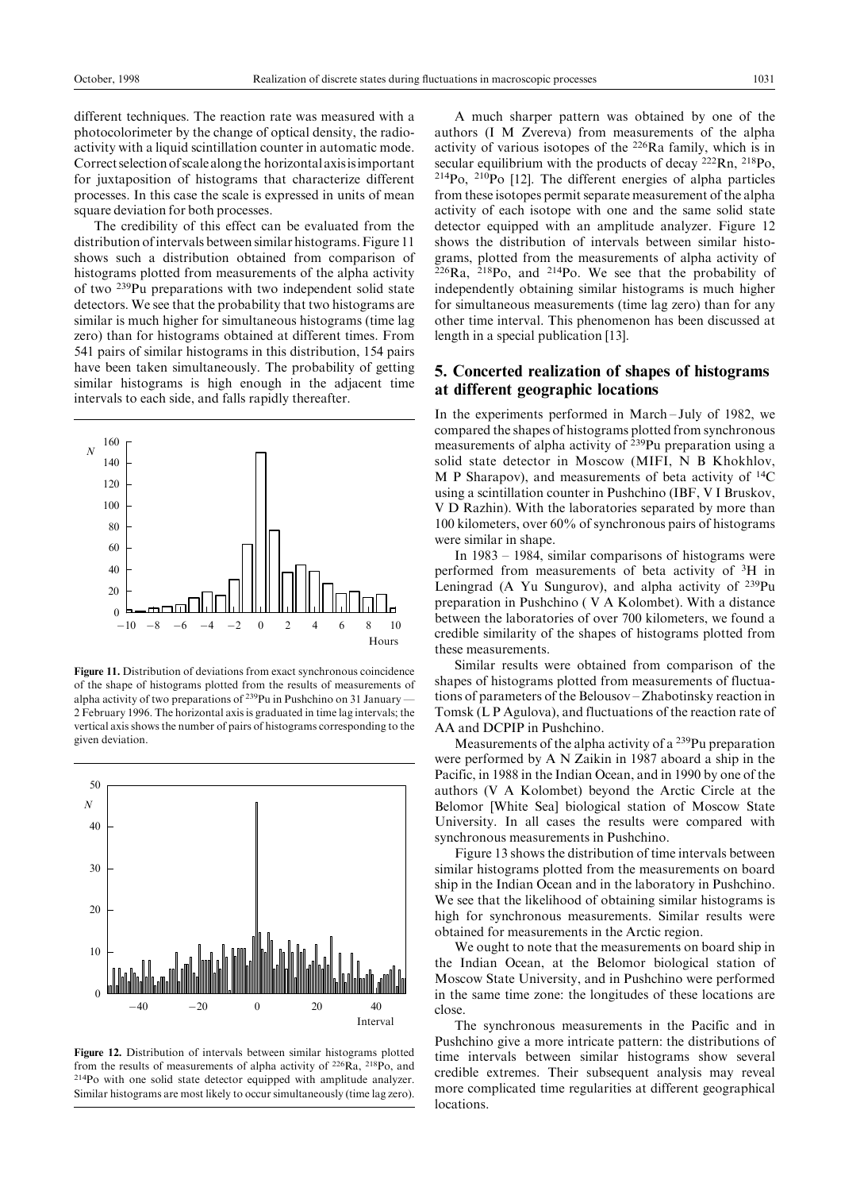different techniques. The reaction rate was measured with a photocolorimeter by the change of optical density, the radioactivity with a liquid scintillation counter in automatic mode. Correctselectionofscalealongthe horizontalaxisisimportant for juxtaposition of histograms that characterize different processes. In this case the scale is expressed in units of mean square deviation for both processes.

The credibility of this effect can be evaluated from the distribution ofintervals between similar histograms.Figure 11 shows such a distribution obtained from comparison of histograms plotted from measurements of the alpha activity of two 239Pu preparations with two independent solid state detectors. We see that the probability that two histograms are similar is much higher for simultaneous histograms (time lag zero) than for histograms obtained at different times. From 541 pairs of similar histograms in this distribution, 154 pairs have been taken simultaneously. The probability of getting similar histograms is high enough in the adjacent time intervals to each side, and falls rapidly thereafter.



Figure 11. Distribution of deviations from exact synchronous coincidence of the shape of histograms plotted from the results of measurements of alpha activity of two preparations of  $239$ Pu in Pushchino on 31 January  $\overline{\phantom{a}}$ 2 February 1996. The horizontal axis is graduated in time lag intervals; the vertical axis shows the number of pairs of histograms corresponding to the given deviation.



Figure 12. Distribution of intervals between similar histograms plotted from the results of measurements of alpha activity of 226Ra, 218Po, and 214Po with one solid state detector equipped with amplitude analyzer. Similar histograms are most likely to occur simultaneously (time lag zero).

A much sharper pattern was obtained by one of the authors (I M Zvereva) from measurements of the alpha activity of various isotopes of the 226Ra family, which is in secular equilibrium with the products of decay <sup>222</sup>Rn, <sup>218</sup>Po,  $214P_0$ ,  $210P_0$  [12]. The different energies of alpha particles from these isotopes permit separate measurement of the alpha activity of each isotope with one and the same solid state detector equipped with an amplitude analyzer. Figure 12 shows the distribution of intervals between similar histograms, plotted from the measurements of alpha activity of  $226Ra$ ,  $218Po$ , and  $214Po$ . We see that the probability of independently obtaining similar histograms is much higher for simultaneous measurements (time lag zero) than for any other time interval. This phenomenon has been discussed at length in a special publication [13].

### 5. Concerted realization of shapes of histograms at different geographic locations

In the experiments performed in March-July of 1982, we compared the shapes of histograms plotted from synchronous measurements of alpha activity of 239Pu preparation using a solid state detector in Moscow (MIFI, N B Khokhlov, M P Sharapov), and measurements of beta activity of  $^{14}C$ using a scintillation counter in Pushchino (IBF, V I Bruskov, V D Razhin). With the laboratories separated by more than 100 kilometers, over 60% of synchronous pairs of histograms were similar in shape.

In  $1983 - 1984$ , similar comparisons of histograms were performed from measurements of beta activity of 3H in Leningrad (A Yu Sungurov), and alpha activity of 239Pu preparation in Pushchino ( V A Kolombet). With a distance between the laboratories of over 700 kilometers, we found a credible similarity of the shapes of histograms plotted from these measurements.

Similar results were obtained from comparison of the shapes of histograms plotted from measurements of fluctuations of parameters of the Belousov – Zhabotinsky reaction in Tomsk (L P Agulova), and fluctuations of the reaction rate of AA and DCPIP in Pushchino.

Measurements of the alpha activity of a 239Pu preparation were performed by A N Zaikin in 1987 aboard a ship in the Pacific, in 1988 in the Indian Ocean, and in 1990 by one of the authors (V A Kolombet) beyond the Arctic Circle at the Belomor [White Sea] biological station of Moscow State University. In all cases the results were compared with synchronous measurements in Pushchino.

Figure 13 shows the distribution of time intervals between similar histograms plotted from the measurements on board ship in the Indian Ocean and in the laboratory in Pushchino. We see that the likelihood of obtaining similar histograms is high for synchronous measurements. Similar results were obtained for measurements in the Arctic region.

We ought to note that the measurements on board ship in the Indian Ocean, at the Belomor biological station of Moscow State University, and in Pushchino were performed in the same time zone: the longitudes of these locations are close.

The synchronous measurements in the Pacific and in Pushchino give a more intricate pattern: the distributions of time intervals between similar histograms show several credible extremes. Their subsequent analysis may reveal more complicated time regularities at different geographical locations.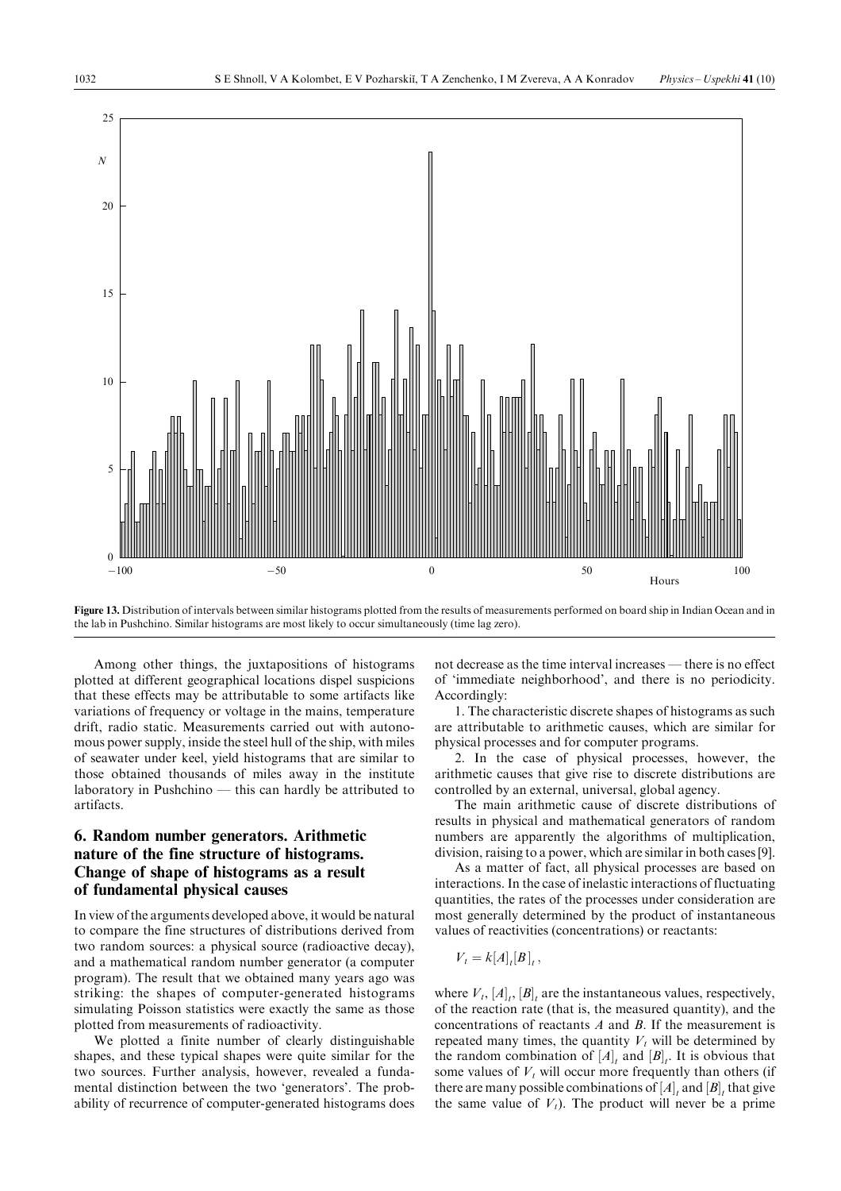

Figure 13. Distribution of intervals between similar histograms plotted from the results of measurements performed on board ship in Indian Ocean and in the lab in Pushchino. Similar histograms are most likely to occur simultaneously (time lag zero).

Among other things, the juxtapositions of histograms plotted at different geographical locations dispel suspicions that these effects may be attributable to some artifacts like variations of frequency or voltage in the mains, temperature drift, radio static. Measurements carried out with autonomous power supply, inside the steel hull of the ship, with miles of seawater under keel, yield histograms that are similar to those obtained thousands of miles away in the institute laboratory in Pushchino  $-$  this can hardly be attributed to artifacts.

# 6. Random number generators. Arithmetic nature of the fine structure of histograms. Change of shape of histograms as a result of fundamental physical causes

In view of the arguments developed above, it would be natural to compare the fine structures of distributions derived from two random sources: a physical source (radioactive decay), and a mathematical random number generator (a computer program). The result that we obtained many years ago was striking: the shapes of computer-generated histograms simulating Poisson statistics were exactly the same as those plotted from measurements of radioactivity.

We plotted a finite number of clearly distinguishable shapes, and these typical shapes were quite similar for the two sources. Further analysis, however, revealed a fundamental distinction between the two 'generators'. The probability of recurrence of computer-generated histograms does

not decrease as the time interval increases — there is no effect of `immediate neighborhood', and there is no periodicity. Accordingly:

1. The characteristic discrete shapes of histograms as such are attributable to arithmetic causes, which are similar for physical processes and for computer programs.

2. In the case of physical processes, however, the arithmetic causes that give rise to discrete distributions are controlled by an external, universal, global agency.

The main arithmetic cause of discrete distributions of results in physical and mathematical generators of random numbers are apparently the algorithms of multiplication, division, raising to a power, which are similar in both cases [9].

As a matter of fact, all physical processes are based on interactions.In the case of inelastic interactions of fluctuating quantities, the rates of the processes under consideration are most generally determined by the product of instantaneous values of reactivities (concentrations) or reactants:

$$
V_t = k[A]_t[B]_t,
$$

where  $V_t$ ,  $[A]_t$ ,  $[B]_t$  are the instantaneous values, respectively, of the reaction rate (that is, the measured quantity), and the concentrations of reactants A and B. If the measurement is repeated many times, the quantity  $V_t$  will be determined by the random combination of  $[A]_t$  and  $[B]_t$ . It is obvious that some values of  $V_t$  will occur more frequently than others (if there are many possible combinations of  $[A]_t$  and  $[B]_t$  that give the same value of  $V_t$ ). The product will never be a prime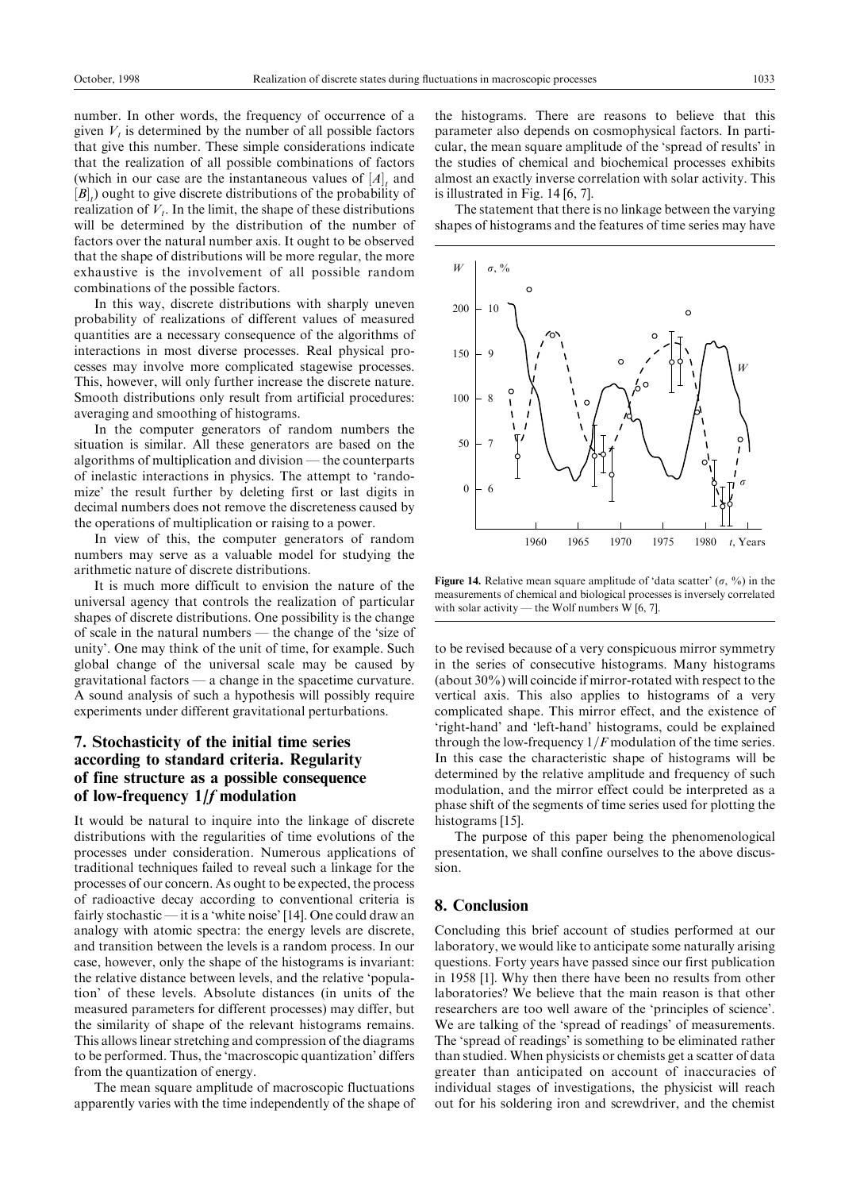number. In other words, the frequency of occurrence of a given  $V_t$  is determined by the number of all possible factors that give this number. These simple considerations indicate that the realization of all possible combinations of factors (which in our case are the instantaneous values of  $[A]_t$  and  $[B]_t$ ) ought to give discrete distributions of the probability of realization of  $V_t$ . In the limit, the shape of these distributions will be determined by the distribution of the number of factors over the natural number axis. It ought to be observed that the shape of distributions will be more regular, the more exhaustive is the involvement of all possible random combinations of the possible factors.

In this way, discrete distributions with sharply uneven probability of realizations of different values of measured quantities are a necessary consequence of the algorithms of interactions in most diverse processes. Real physical processes may involve more complicated stagewise processes. This, however, will only further increase the discrete nature. Smooth distributions only result from artificial procedures: averaging and smoothing of histograms.

In the computer generators of random numbers the situation is similar. All these generators are based on the algorithms of multiplication and division  $-$  the counterparts of inelastic interactions in physics. The attempt to `randomize' the result further by deleting first or last digits in decimal numbers does not remove the discreteness caused by the operations of multiplication or raising to a power.

In view of this, the computer generators of random numbers may serve as a valuable model for studying the arithmetic nature of discrete distributions.

It is much more difficult to envision the nature of the universal agency that controls the realization of particular shapes of discrete distributions. One possibility is the change of scale in the natural numbers — the change of the 'size of unity'. One may think of the unit of time, for example. Such global change of the universal scale may be caused by  $gravitational factors — a change in the spacetime curvature.$ A sound analysis of such a hypothesis will possibly require experiments under different gravitational perturbations.

# 7. Stochasticity of the initial time series according to standard criteria. Regularity of fine structure as a possible consequence of low-frequency 1/f modulation

It would be natural to inquire into the linkage of discrete distributions with the regularities of time evolutions of the processes under consideration. Numerous applications of traditional techniques failed to reveal such a linkage for the processes of our concern. As ought to be expected, the process of radioactive decay according to conventional criteria is fairly stochastic  $\frac{d}{dt}$  is a 'white noise' [14]. One could draw an analogy with atomic spectra: the energy levels are discrete, and transition between the levels is a random process. In our case, however, only the shape of the histograms is invariant: the relative distance between levels, and the relative `population' of these levels. Absolute distances (in units of the measured parameters for different processes) may differ, but the similarity of shape of the relevant histograms remains. This allows linear stretching and compression of the diagrams to be performed. Thus, the `macroscopic quantization' differs from the quantization of energy.

The mean square amplitude of macroscopic fluctuations apparently varies with the time independently of the shape of the histograms. There are reasons to believe that this parameter also depends on cosmophysical factors. In particular, the mean square amplitude of the `spread of results' in the studies of chemical and biochemical processes exhibits almost an exactly inverse correlation with solar activity. This is illustrated in Fig. 14 [6, 7].

The statement that there is no linkage between the varying shapes of histograms and the features of time series may have



Figure 14. Relative mean square amplitude of 'data scatter'  $(\sigma, \frac{9}{6})$  in the measurements of chemical and biological processes is inversely correlated with solar activity  $-$  the Wolf numbers W [6, 7].

to be revised because of a very conspicuous mirror symmetry in the series of consecutive histograms. Many histograms (about 30%) will coincide if mirror-rotated with respect to the vertical axis. This also applies to histograms of a very complicated shape. This mirror effect, and the existence of `right-hand' and `left-hand' histograms, could be explained through the low-frequency  $1/F$  modulation of the time series. In this case the characteristic shape of histograms will be determined by the relative amplitude and frequency of such modulation, and the mirror effect could be interpreted as a phase shift of the segments of time series used for plotting the histograms [15].

The purpose of this paper being the phenomenological presentation, we shall confine ourselves to the above discussion.

# 8. Conclusion

Concluding this brief account of studies performed at our laboratory, we would like to anticipate some naturally arising questions. Forty years have passed since our first publication in 1958 [1]. Why then there have been no results from other laboratories? We believe that the main reason is that other researchers are too well aware of the `principles of science'. We are talking of the 'spread of readings' of measurements. The `spread of readings' is something to be eliminated rather than studied. When physicists or chemists get a scatter of data greater than anticipated on account of inaccuracies of individual stages of investigations, the physicist will reach out for his soldering iron and screwdriver, and the chemist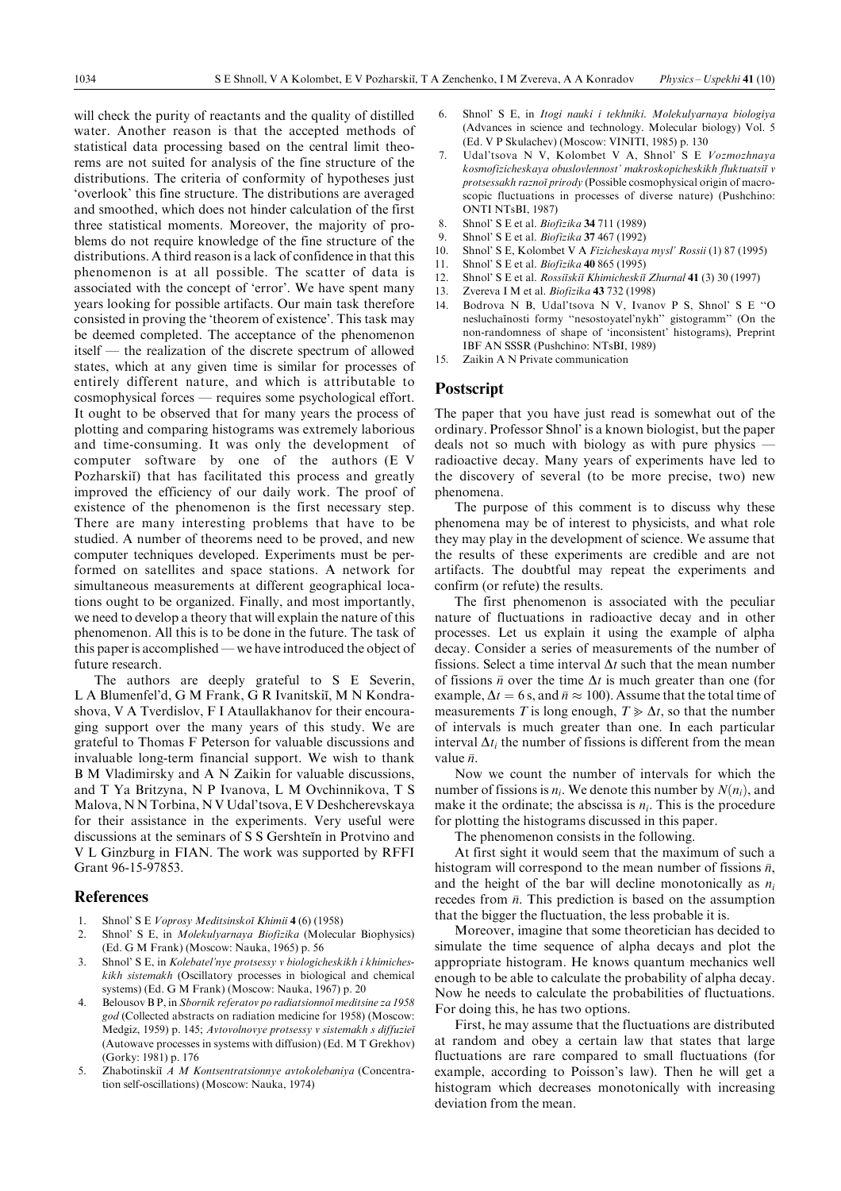will check the purity of reactants and the quality of distilled water. Another reason is that the accepted methods of statistical data processing based on the central limit theorems are not suited for analysis of the fine structure of the distributions. The criteria of conformity of hypotheses just `overlook' this fine structure. The distributions are averaged and smoothed, which does not hinder calculation of the first three statistical moments. Moreover, the majority of problems do not require knowledge of the fine structure of the distributions. A third reason is a lack of confidence in that this phenomenon is at all possible. The scatter of data is associated with the concept of `error'. We have spent many years looking for possible artifacts. Our main task therefore consisted in proving the `theorem of existence'. This task may be deemed completed. The acceptance of the phenomenon itself — the realization of the discrete spectrum of allowed states, which at any given time is similar for processes of entirely different nature, and which is attributable to cosmophysical forces — requires some psychological effort. It ought to be observed that for many years the process of plotting and comparing histograms was extremely laborious and time-consuming. It was only the development of computer software by one of the authors (E V Pozharskii) that has facilitated this process and greatly improved the efficiency of our daily work. The proof of existence of the phenomenon is the first necessary step. There are many interesting problems that have to be studied. A number of theorems need to be proved, and new computer techniques developed. Experiments must be performed on satellites and space stations. A network for simultaneous measurements at different geographical locations ought to be organized. Finally, and most importantly, we need to develop a theory that will explain the nature of this phenomenon. All this is to be done in the future. The task of this paper is accomplished — we have introduced the object of future research.

The authors are deeply grateful to S E Severin, L A Blumenfel'd, G M Frank, G R Ivanitskii, M N Kondrashova, V A Tverdislov, F I Ataullakhanov for their encouraging support over the many years of this study. We are grateful to Thomas F Peterson for valuable discussions and invaluable long-term financial support. We wish to thank B M Vladimirsky and A N Zaikin for valuable discussions, and T Ya Britzyna, N P Ivanova, L M Ovchinnikova, T S Malova, N N Torbina, N V Udal'tsova,E V Deshcherevskaya for their assistance in the experiments. Very useful were discussions at the seminars of S S Gershtein in Protvino and V L Ginzburg in FIAN. The work was supported by RFFI Grant 96-15-97853.

#### References

- 1. Shnol' S E Voprosy Meditsinskoĭ Khimii 4 (6) (1958)
- 2. Shnol' S E, in Molekulyarnaya Biofizika (Molecular Biophysics) (Ed. G M Frank) (Moscow: Nauka, 1965) p. 56
- 3. Shnol' S E, in Kolebatel'nye protsessy v biologicheskikh i khimicheskikh sistemakh (Oscillatory processes in biological and chemical systems) (Ed. G M Frank) (Moscow: Nauka, 1967) p. 20
- Belousov B P, in Sbornik referatov po radiatsionnoĭ meditsine za 1958 god (Collected abstracts on radiation medicine for 1958) (Moscow: Medgiz, 1959) p. 145; Avtovolnovye protsessy v sistemakh s diffuzieĭ (Autowave processes in systems with diffusion) (Ed. M T Grekhov) (Gorky: 1981) p. 176
- Zhabotinskii A M Kontsentratsionnye avtokolebaniya (Concentration self-oscillations) (Moscow: Nauka, 1974)
- 6. Shnol' S E, in Itogi nauki i tekhniki. Molekulyarnaya biologiya (Advances in science and technology. Molecular biology) Vol. 5 (Ed. V P Skulachev) (Moscow: VINITI, 1985) p. 130
- 7. Udal'tsova N V, Kolombet V A, Shnol' S E Vozmozhnaya kosmofizicheskaya obuslovlennost' makroskopicheskikh fluktuatsii v protsessakh raznoi prirody (Possible cosmophysical origin of macroscopic fluctuations in processes of diverse nature) (Pushchino: ONTI NTsBI, 1987)
- 8. Shnol' S E et al. Biofizika 34 711 (1989)
- 9. Shnol' S E et al. Biofizika 37 467 (1992)
- 10. Shnol' S E, Kolombet V A Fizicheskaya mysl' Rossii (1) 87 (1995)
- 11. Shnol' S E et al. Biofizika 40 865 (1995)
- 12. Shnol' S E et al. Rossiiskii Khimicheskii Zhurnal 41 (3) 30 (1997)
- 13. Zvereva I M et al. Biofizika 43 732 (1998)
- 14. Bodrova N B, Udal'tsova N V, Ivanov P S, Shnol' S E "O nesluchaĭnosti formy "nesostoyatel'nykh" gistogramm" (On the non-randomness of shape of `inconsistent' histograms), Preprint IBF AN SSSR (Pushchino: NTsBI, 1989)
- 15. Zaikin A N Private communication

#### Postscript

The paper that you have just read is somewhat out of the ordinary. Professor Shnol' is a known biologist, but the paper deals not so much with biology as with pure physics – radioactive decay. Many years of experiments have led to the discovery of several (to be more precise, two) new phenomena.

The purpose of this comment is to discuss why these phenomena may be of interest to physicists, and what role they may play in the development of science. We assume that the results of these experiments are credible and are not artifacts. The doubtful may repeat the experiments and confirm (or refute) the results.

The first phenomenon is associated with the peculiar nature of fluctuations in radioactive decay and in other processes. Let us explain it using the example of alpha decay. Consider a series of measurements of the number of fissions. Select a time interval  $\Delta t$  such that the mean number of fissions  $\bar{n}$  over the time  $\Delta t$  is much greater than one (for example,  $\Delta t = 6$  s, and  $\bar{n} \approx 100$ ). Assume that the total time of measurements T is long enough,  $T \geq \Delta t$ , so that the number of intervals is much greater than one. In each particular interval  $\Delta t_i$  the number of fissions is different from the mean value  $\bar{n}$ .

Now we count the number of intervals for which the number of fissions is  $n_i$ . We denote this number by  $N(n_i)$ , and make it the ordinate; the abscissa is  $n_i$ . This is the procedure for plotting the histograms discussed in this paper.

The phenomenon consists in the following.

At first sight it would seem that the maximum of such a histogram will correspond to the mean number of fissions  $\bar{n}$ , and the height of the bar will decline monotonically as  $n_i$ recedes from  $\bar{n}$ . This prediction is based on the assumption that the bigger the fluctuation, the less probable it is.

Moreover, imagine that some theoretician has decided to simulate the time sequence of alpha decays and plot the appropriate histogram. He knows quantum mechanics well enough to be able to calculate the probability of alpha decay. Now he needs to calculate the probabilities of fluctuations. For doing this, he has two options.

First, he may assume that the fluctuations are distributed at random and obey a certain law that states that large fluctuations are rare compared to small fluctuations (for example, according to Poisson's law). Then he will get a histogram which decreases monotonically with increasing deviation from the mean.